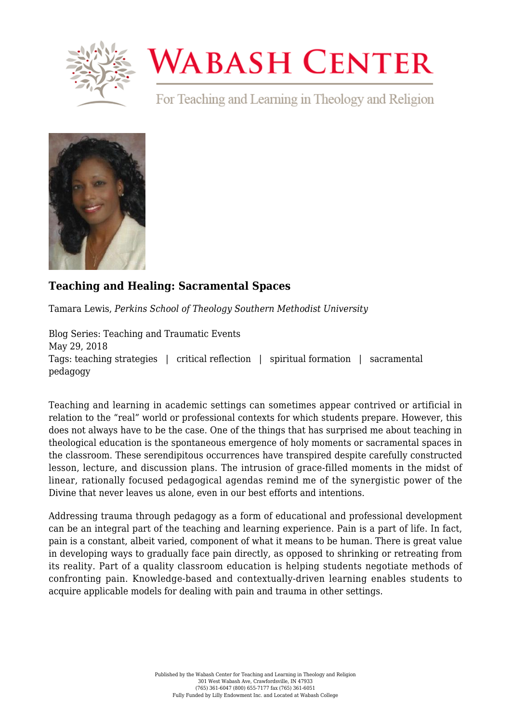

## **WABASH CENTER**

For Teaching and Learning in Theology and Religion



## **[Teaching and Healing: Sacramental Spaces](https://www.wabashcenter.wabash.edu/2018/05/teaching-and-healing-sacramental-spaces/)**

Tamara Lewis, *Perkins School of Theology Southern Methodist University*

Blog Series: Teaching and Traumatic Events May 29, 2018 Tags: teaching strategies | critical reflection | spiritual formation | sacramental pedagogy

Teaching and learning in academic settings can sometimes appear contrived or artificial in relation to the "real" world or professional contexts for which students prepare. However, this does not always have to be the case. One of the things that has surprised me about teaching in theological education is the spontaneous emergence of holy moments or sacramental spaces in the classroom. These serendipitous occurrences have transpired despite carefully constructed lesson, lecture, and discussion plans. The intrusion of grace-filled moments in the midst of linear, rationally focused pedagogical agendas remind me of the synergistic power of the Divine that never leaves us alone, even in our best efforts and intentions.

Addressing trauma through pedagogy as a form of educational and professional development can be an integral part of the teaching and learning experience. Pain is a part of life. In fact, pain is a constant, albeit varied, component of what it means to be human. There is great value in developing ways to gradually face pain directly, as opposed to shrinking or retreating from its reality. Part of a quality classroom education is helping students negotiate methods of confronting pain. Knowledge-based and contextually-driven learning enables students to acquire applicable models for dealing with pain and trauma in other settings.